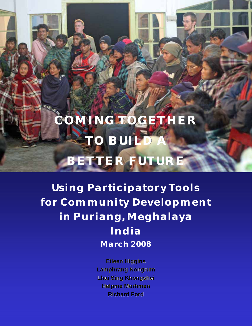# **COMING TOGETHER TO BUILD BETTER FUTURE**

**Using Participatory Tools for Community Development in Puriang, Meghalaya India March 2008** 

> **Eileen Higgins Lamphrang Nongrum Lhai Sing Khongshei Lhai Sing Khongshei Helpme Morhmen Richard Ford**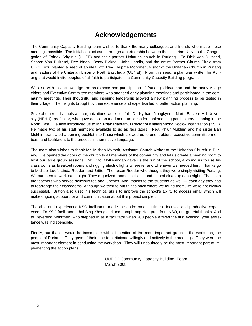### **Acknowledgements**

The Community Capacity Building team wishes to thank the many colleagues and friends who made these meetings possible. The initial contact came through a partnership between the Unitarian-Universalist Congregation of Fairfax, Virginia (UUCF) and their partner Unitarian church in Puriang. To Dick Van Duizend, Sharon Van Duizend, Dee Idnani, Betsy Bicknell, John Landis, and the entire Partner Church Circle from UUCF, you planted a seed of an idea with Rev. Helpme Mohrmen, Visitor of the Unitarian Church in Puriang and leaders of the Unitarian Union of North East India (UUNEI). From this seed, a plan was written for Puriang that would invite peoples of all faith to participate in a Community Capacity Building program.

We also with to acknowledge the assistance and participation of Puriang's Headman and the many village elders and Executive Committee members who attended early planning meetings and participated in the community meetings. Their thoughtful and inspiring leadership allowed a new planning process to be tested in their village. The insights brought by their experience and expertise led to better action planning.

Several other individuals and organizations were helpful. Dr. Kyrham Nongkynrih, North Eastern Hill University (NEHU) professor, who gave advice on tried and true ideas for implementing participatory planning in the North East. He also introduced us to Mr. Priak Riahtam, Director of Khatarshnong Socio-Organization (KSO). He made two of his staff members available to us as facilitators. Rev. Khlur Mukhim and his sister Bari Mukhim translated a training booklet into Khasi which allowed us to orient elders, executive committee members, and facilitators to the process in their native language.

The team also wishes to thank Mr. Mishen Myrboh, Assistant Church Visitor of the Unitarian Church in Puriang. He opened the doors of the church to all members of the community and let us create a meeting room to host our large group sessions. Mr. Ditol Mylliemngap gave us the run of the school, allowing us to use his classrooms as breakout rooms and rigging electric lights wherever and whenever we needed him. Thanks go to Michael Looft, Linda Reeder, and Britton Thompson Reeder who thought they were simply visiting Puriang. We put them to work each night. They organized rooms, logistics, and helped clean up each night. Thanks to the teachers who served delicious tea and lunches. And, thanks to the students as well — each day they had to rearrange their classrooms. Although we tried to put things back where we found them, we were not always successful. Britton also used his technical skills to improve the school's ability to access email which will make ongoing support for and communication about this project simpler.

The able and experienced KSO facilitators made the entire meeting time a focused and productive experience. To KSO facilitators Lhai Sing Khongshei and Lamphrang Nongrum from KSO, our grateful thanks. And to Reverend Mohrmen, who stepped in as a facilitator when 200 people arrived the first evening, your assistance was indispensible.

Finally, our thanks would be incomplete without mention of the most important group in the workshop, the people of Puriang. They gave of their time to participate willingly and actively in the meetings. They were the most important element in conducting the workshop. They will undoubtedly be the most important part of implementing the action plans.

> UUPCC Community Capacity Building Team March 2008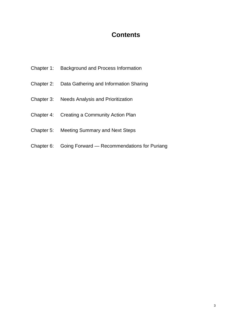### **Contents**

- Chapter 1: Background and Process Information
- Chapter 2: Data Gathering and Information Sharing
- Chapter 3: Needs Analysis and Prioritization
- Chapter 4: Creating a Community Action Plan
- Chapter 5: Meeting Summary and Next Steps
- Chapter 6: Going Forward Recommendations for Puriang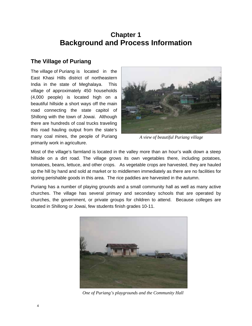# **Chapter 1 Background and Process Information**

### **The Village of Puriang**

The village of Puriang is located in the East Khasi Hills district of northeastern India in the state of Meghalaya. This village of approximately 450 households (4,000 people) is located high on a beautiful hillside a short ways off the main road connecting the state capitol of Shillong with the town of Jowai. Although there are hundreds of coal trucks traveling this road hauling output from the state's many coal mines, the people of Puriang primarily work in agriculture.



*A view of beautiful Puriang village* 

Most of the village's farmland is located in the valley more than an hour's walk down a steep hillside on a dirt road. The village grows its own vegetables there, including potatoes, tomatoes, beans, lettuce, and other crops. As vegetable crops are harvested, they are hauled up the hill by hand and sold at market or to middlemen immediately as there are no facilities for storing perishable goods in this area. The rice paddies are harvested in the autumn.

Puriang has a number of playing grounds and a small community hall as well as many active churches. The village has several primary and secondary schools that are operated by churches, the government, or private groups for children to attend. Because colleges are located in Shillong or Jowai, few students finish grades 10-11.



*One of Puriang's playgrounds and the Community Hall*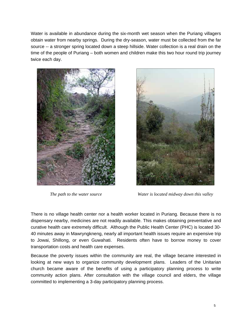Water is available in abundance during the six-month wet season when the Puriang villagers obtain water from nearby springs. During the dry-season, water must be collected from the far source -- a stronger spring located down a steep hillside. Water collection is a real drain on the time of the people of Puriang – both women and children make this two hour round trip journey twice each day.





*The path to the water source* **Water is located midway down this valley** 

There is no village health center nor a health worker located in Puriang. Because there is no dispensary nearby, medicines are not readily available. This makes obtaining preventative and curative health care extremely difficult. Although the Public Health Center (PHC) is located 30- 40 minutes away in Mawryngkneng, nearly all important health issues require an expensive trip to Jowai, Shillong, or even Guwahati. Residents often have to borrow money to cover transportation costs and health care expenses.

Because the poverty issues within the community are real, the village became interested in looking at new ways to organize community development plans. Leaders of the Unitarian church became aware of the benefits of using a participatory planning process to write community action plans. After consultation with the village council and elders, the village committed to implementing a 3-day participatory planning process.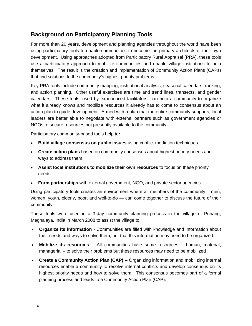### **Background on Participatory Planning Tools**

For more than 20 years, development and planning agencies throughout the world have been using participatory tools to enable communities to become the primary architects of their own development. Using approaches adopted from Participatory Rural Appraisal (PRA), these tools use a participatory approach to mobilize communities and enable village institutions to help themselves. The result is the creation and implementation of Community Action Plans (CAPs) that find solutions to the community's highest priority problems.

Key PRA tools include community mapping, institutional analysis, seasonal calendars, ranking, and action planning. Other useful exercises are time and trend lines, transects, and gender calendars. These tools, used by experienced facilitators, can help a community to organize what it already knows and mobilize resources it already has to come to consensus about an action plan to guide development. Armed with a plan that the entire community supports, local leaders are better able to negotiate with external partners such as government agencies or NGOs to secure resources not presently available to the community.

Participatory community-based tools help to**:**

- **Build village consensus on public issues** using conflict mediation techniques
- **Create action plans** based on community consensus about highest priority needs and ways to address them
- **Assist local institutions to mobilize their own resources** to focus on these priority needs
- **Form partnerships** with external government, NGO, and private sector agencies

Using participatory tools creates an environment where all members of the community – men, women, youth, elderly, poor, and well-to-do — can come together to discuss the future of their community.

These tools were used in a 3-day community planning process in the village of Puriang, Meghalaya, India in March 2008 to assist the village to:

- **Organize its information** Communities are filled with knowledge and information about their needs and ways to solve them, but that this information may need to be organized.
- **Mobilize its resources** All communities have some resources human, material, managerial – to solve their problems but these resources may need to be mobilized
- **Create a Community Action Plan (CAP) --** Organizing information and mobilizing internal resources enable a community to resolve internal conflicts and develop consensus on its highest priority needs and how to solve them. This consensus becomes part of a formal planning process and leads to a Community Action Plan (CAP).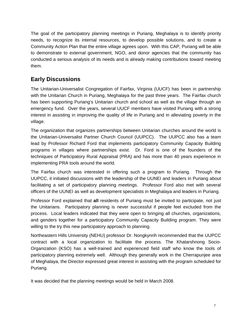The goal of the participatory planning meetings in Puriang, Meghalaya is to identify priority needs, to recognize its internal resources, to develop possible solutions, and to create a Community Action Plan that the entire village agrees upon. With this CAP, Puriang will be able to demonstrate to external government, NGO, and donor agencies that the community has conducted a serious analysis of its needs and is already making contributions toward meeting them.

### **Early Discussions**

The Unitarian-Universalist Congregation of Fairfax, Virginia (UUCF) has been in partnership with the Unitarian Church in Puriang, Meghalaya for the past three years. The Fairfax church has been supporting Puriang's Unitarian church and school as well as the village through an emergency fund. Over the years, several UUCF members have visited Puriang with a strong interest in assisting in improving the quality of life in Puriang and in alleviating poverty in the village.

The organization that organizes partnerships between Unitarian churches around the world is the Unitarian-Universalist Partner Church Council (UUPCC). The UUPCC also has a team lead by Professor Richard Ford that implements participatory Community Capacity Building programs in villages where partnerships exist. Dr. Ford is one of the founders of the techniques of Participatory Rural Appraisal (PRA) and has more than 40 years experience in implementing PRA tools around the world.

The Fairfax church was interested in offering such a program to Puriang. Through the UUPCC, it initiated discussions with the leadership of the UUNEI and leaders in Puriang about facilitating a set of participatory planning meetings. Professor Ford also met with several officers of the UUNEI as well as development specialists in Meghalaya and leaders in Puriang.

Professor Ford explained that **all** residents of Puriang must be invited to participate, not just the Unitarians. Participatory planning is never successful if people feel excluded from the process. Local leaders indicated that they were open to bringing all churches, organizations, and genders together for a participatory Community Capacity Building program. They were willing to the try this new participatory approach to planning.

Northeastern Hills University (NEHU) professor Dr. Nongkynrih recommended that the UUPCC contract with a local organization to facilitate the process. The Khatarshnong Socio-Organization (KSO) has a well-trained and experienced field staff who know the tools of participatory planning extremely well. Although they generally work in the Cherrapunjee area of Meghalaya, the Director expressed great interest in assisting with the program scheduled for Puriang.

It was decided that the planning meetings would be held in March 2008.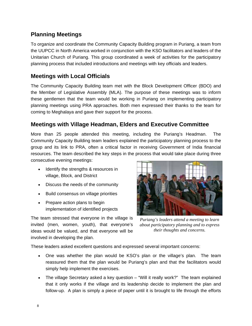### **Planning Meetings**

To organize and coordinate the Community Capacity Building program in Puriang, a team from the UUPCC in North America worked in conjunction with the KSO facilitators and leaders of the Unitarian Church of Puriang. This group coordinated a week of activities for the participatory planning process that included introductions and meetings with key officials and leaders.

### **Meetings with Local Officials**

The Community Capacity Building team met with the Block Development Officer (BDO) and the Member of Legislative Assembly (MLA). The purpose of these meetings was to inform these gentlemen that the team would be working in Puriang on implementing participatory planning meetings using PRA approaches. Both men expressed their thanks to the team for coming to Meghalaya and gave their support for the process.

### **Meetings with Village Headman, Elders and Executive Committee**

More than 25 people attended this meeting, including the Puriang's Headman. The Community Capacity Building team leaders explained the participatory planning process to the group and its link to PRA, often a critical factor in receiving Government of India financial resources. The team described the key steps in the process that would take place during three consecutive evening meetings:

- Identify the strengths & resources in village, Block, and District
- Discuss the needs of the community
- Build consensus on village priorities
- Prepare action plans to begin implementation of identified projects

The team stressed that everyone in the village is invited (men, women, youth), that everyone's ideas would be valued, and that everyone will be involved in developing the plan.

*Puriang's leaders attend a meeting to learn about participatory planning and to express their thoughts and concerns.* 

These leaders asked excellent questions and expressed several important concerns:

- One was whether the plan would be KSO's plan or the village's plan. The team reassured them that the plan would be Puriang's plan and that the facilitators would simply help implement the exercises.
- The village Secretary asked a key question "Will it really work?" The team explained that it only works if the village and its leadership decide to implement the plan and follow-up. A plan is simply a piece of paper until it is brought to life through the efforts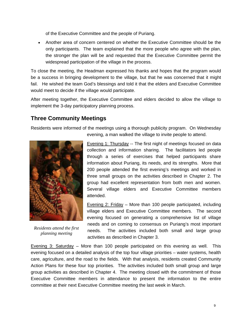of the Executive Committee and the people of Puriang.

• Another area of concern centered on whether the Executive Committee should be the only participants. The team explained that the more people who agree with the plan, the stronger the plan will be and requested that the Executive Committee permit the widespread participation of the village in the process.

To close the meeting, the Headman expressed his thanks and hopes that the program would be a success in bringing development to the village, but that he was concerned that it might fail. He wished the team God's blessings and told it that the elders and Executive Committee would meet to decide if the village would participate.

After meeting together, the Executive Committee and elders decided to allow the village to implement the 3-day participatory planning process.

### **Three Community Meetings**

Residents were informed of the meetings using a thorough publicity program. On Wednesday



*Residents attend the first planning meeting* 

evening, a man walked the village to invite people to attend.

Evening 1: Thursday -- The first night of meetings focused on data collection and information sharing. The facilitators led people through a series of exercises that helped participants share information about Puriang, its needs, and its strengths. More that 200 people attended the first evening's meetings and worked in three small groups on the activities described in Chapter 2. The group had excellent representation from both men and women. Several village elders and Executive Committee members attended.

Evening 2: Friday – More than 100 people participated, including village elders and Executive Committee members. The second evening focused on generating a comprehensive list of village needs and on coming to consensus on Puriang's most important needs. The activities included both small and large group activities as described in Chapter 3.

Evening 3: Saturday – More than 100 people participated on this evening as well. This evening focused on a detailed analysis of the top four village priorities – water systems, health care, agriculture, and the road to the fields. With that analysis, residents created Community Action Plans for these four top priorities. The activities included both small group and large group activities as described in Chapter 4. The meeting closed with the commitment of those Executive Committee members in attendance to present the information to the entire committee at their next Executive Committee meeting the last week in March.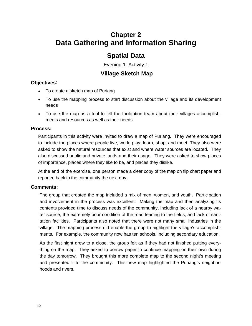# **Chapter 2 Data Gathering and Information Sharing**

### **Spatial Data**

Evening 1: Activity 1

### **Village Sketch Map**

#### **Objectives:**

- To create a sketch map of Puriang
- To use the mapping process to start discussion about the village and its development needs
- To use the map as a tool to tell the facilitation team about their villages accomplishments and resources as well as their needs

#### **Process:**

Participants in this activity were invited to draw a map of Puriang. They were encouraged to include the places where people live, work, play, learn, shop, and meet. They also were asked to show the natural resources that exist and where water sources are located. They also discussed public and private lands and their usage. They were asked to show places of importance, places where they like to be, and places they dislike.

At the end of the exercise, one person made a clear copy of the map on flip chart paper and reported back to the community the next day.

#### **Comments:**

The group that created the map included a mix of men, women, and youth. Participation and involvement in the process was excellent. Making the map and then analyzing its contents provided time to discuss needs of the community, including lack of a nearby water source, the extremely poor condition of the road leading to the fields, and lack of sanitation facilities. Participants also noted that there were not many small industries in the village. The mapping process did enable the group to highlight the village's accomplishments. For example, the community now has ten schools, including secondary education.

As the first night drew to a close, the group felt as if they had not finished putting everything on the map. They asked to borrow paper to continue mapping on their own during the day tomorrow. They brought this more complete map to the second night's meeting and presented it to the community. This new map highlighted the Puriang's neighborhoods and rivers.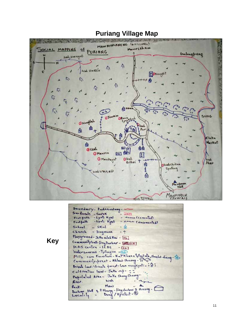

### **Puriang Village Map**

Beundary- Pudrawdong-Sur Roads - Surek  $-300$ Footpath - Lynti Kgal + (cemented) -Lynt. Kyat Footpath - en (unconnented) School  $-$  SKul ۵ - Imgmane church  $- +$ Playground - Jaka inlet Kai - [16] Communityhall-ImpDorbar - [88] [EH] Watersources - Tyllingum - 00 Mills cum Furniture - Kat'Khana tyllait ata, shea/of diegg-Af Community-preat - Khlaw Shnong - 97 Private land/ Private forest- Law monghynti - in ?  $c$  alteration land-Jaka  $ce^{\frac{1}{2}-\frac{1}{2}}$ Populated Avec - Jake Shong Shong Wah River.  $ManM$ Rock.<br>Dorbor Hell & 2 shows - fingdombor 2 showng -Rock-

 **Key**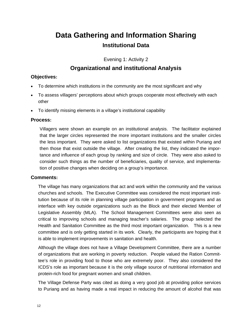# **Data Gathering and Information Sharing Institutional Data**

Evening 1: Activity 2

### **Organizational and institutional Analysis**

#### **Objectives:**

- To determine which institutions in the community are the most significant and why
- To assess villagers' perceptions about which groups cooperate most effectively with each other
- To identify missing elements in a village's institutional capability

#### **Process:**

Villagers were shown an example on an institutional analysis. The facilitator explained that the larger circles represented the more important institutions and the smaller circles the less important. They were asked to list organizations that existed within Puriang and then those that exist outside the village. After creating the list, they indicated the importance and influence of each group by ranking and size of circle. They were also asked to consider such things as the number of beneficiaries, quality of service, and implementation of positive changes when deciding on a group's importance.

#### **Comments:**

The village has many organizations that act and work within the community and the various churches and schools. The Executive Committee was considered the most important institution because of its role in planning village participation in government programs and as interface with key outside organizations such as the Block and their elected Member of Legislative Assembly (MLA). The School Management Committees were also seen as critical to improving schools and managing teacher's salaries. The group selected the Health and Sanitation Committee as the third most important organization. This is a new committee and is only getting started in its work. Clearly, the participants are hoping that it is able to implement improvements in sanitation and health.

Although the village does not have a Village Development Committee, there are a number of organizations that are working in poverty reduction. People valued the Ration Committee's role in providing food to those who are extremely poor. They also considered the ICDS's role as important because it is the only village source of nutritional information and protein-rich food for pregnant women and small children.

The Village Defense Party was cited as doing a very good job at providing police services to Puriang and as having made a real impact in reducing the amount of alcohol that was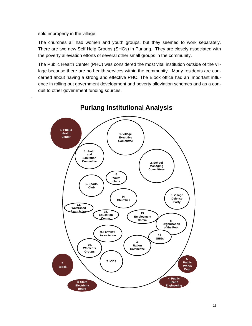sold improperly in the village.

.

The churches all had women and youth groups, but they seemed to work separately. There are two new Self Help Groups (SHGs) in Puriang. They are closely associated with the poverty alleviation efforts of several other small groups in the community.

The Public Health Center (PHC) was considered the most vital institution outside of the village because there are no health services within the community. Many residents are concerned about having a strong and effective PHC. The Block office had an important influence in rolling out government development and poverty alleviation schemes and as a conduit to other government funding sources.



### **Puriang Institutional Analysis**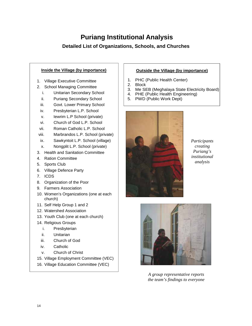# **Puriang Institutional Analysis**

### **Detailed List of Organizations, Schools, and Churches**

### **Inside the Village (by importance)** 1. Village Executive Committee 2. School Managing Committee i. Unitarian Secondary School ii. Puriang Secondary School iii. Govt. Lower Primary School iv. Presbyterian L.P. School v. Iewrim L.P School (private) vi. Church of God L.P. School vii. Roman Catholic L.P. School viii. Marbrandos L.P. School (private) ix. Sawkyntoit L.P. School (village) x. Nongplit L.P. School (private) 3. Health and Sanitation Committee 4. Ration Committee 5. Sports Club 6. Village Defence Party 7. ICDS 8. Organization of the Poor 9. Farmers Association 10. Women's Organizations (one at each church) 11. Self Help Group 1 and 2 12. Watershed Association

- 13. Youth Club (one at each church)
- 14. Religious Groups
	- i. Presbyterian
	- ii. Unitarian
	- iii. Church of God
	- iv. Catholic
	- v. Church of Christ
- 15. Village Employment Committee (VEC)
- 16. Village Education Committee (VEC)

#### **Outside the Village (by importance)**

- 1. PHC (Public Health Center)
- 2. Block
- 3. Me SEB (Meghalaya State Electricity Board)
- 4. PHE (Public Health Engineering)
- 5. PWD (Public Work Dept)



*Participants creating Puriang's institutional analysis* 



*A group representative reports the team's findings to everyone*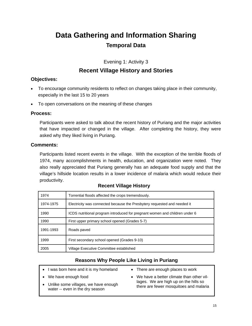# **Data Gathering and Information Sharing Temporal Data**

Evening 1: Activity 3

### **Recent Village History and Stories**

#### **Objectives:**

- To encourage community residents to reflect on changes taking place in their community, especially in the last 15 to 20 years
- To open conversations on the meaning of these changes

#### **Process:**

Participants were asked to talk about the recent history of Puriang and the major activities that have impacted or changed in the village. After completing the history, they were asked why they liked living in Puriang.

#### **Comments:**

Participants listed recent events in the village. With the exception of the terrible floods of 1974, many accomplishments in health, education, and organization were noted. They also really appreciated that Puriang generally has an adequate food supply and that the village's hillside location results in a lower incidence of malaria which would reduce their productivity.

| 1974      | Torrential floods affected the crops tremendously.                          |
|-----------|-----------------------------------------------------------------------------|
| 1974-1975 | Electricity was connected because the Presbytery requested and needed it    |
| 1990      | ICDS nutritional program introduced for pregnant women and children under 6 |
| 1990      | First upper primary school opened (Grades 5-7)                              |
| 1991-1993 | Roads paved                                                                 |
| 1999      | First secondary school opened (Grades 9-10)                                 |
| 2005      | Village Executive Committee established                                     |

#### **Recent Village History**

#### **Reasons Why People Like Living in Puriang**

• I was born here and it is my homeland We have enough food Unlike some villages, we have enough water -- even in the dry season • There are enough places to work • We have a better climate than other villages. We are high up on the hills so there are fewer mosquitoes and malaria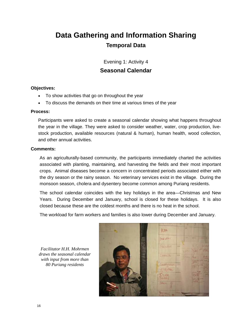# **Data Gathering and Information Sharing Temporal Data**

Evening 1: Activity 4

### **Seasonal Calendar**

#### **Objectives:**

- To show activities that go on throughout the year
- To discuss the demands on their time at various times of the year

#### **Process:**

Participants were asked to create a seasonal calendar showing what happens throughout the year in the village. They were asked to consider weather, water, crop production, livestock production, available resources (natural & human), human health, wood collection, and other annual activities.

#### **Comments:**

As an agriculturally-based community, the participants immediately charted the activities associated with planting, maintaining, and harvesting the fields and their most important crops. Animal diseases become a concern in concentrated periods associated either with the dry season or the rainy season. No veterinary services exist in the village. During the monsoon season, cholera and dysentery become common among Puriang residents.

The school calendar coincides with the key holidays in the area—Christmas and New Years. During December and January, school is closed for these holidays. It is also closed because these are the coldest months and there is no heat in the school.

The workload for farm workers and families is also lower during December and January.

*Facilitator H.H. Mohrmen draws the seasonal calendar with input from more than 80 Puriang residents* 

KUN **GALCAN**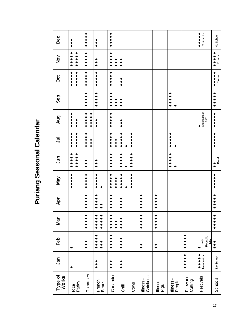| + + + + +<br>+ + + + +<br>$\leftrightarrow \leftrightarrow \leftrightarrow$<br>No School<br>Dec<br>$\ddot{\bullet}$<br>٠<br>$\bullet$<br>*****<br>+ + + + +<br><b>+++++</b><br>+ + + + +<br><b>*****</b><br>Exams<br>$\frac{5}{2}$<br>$\bullet$<br>***<br>$\bullet$<br>*****<br><b>*****</b><br>* * * * *<br><b>+++++</b><br><b>*****</b><br>* * * * *<br>Exams<br>ö<br>$\bullet$<br>$+ + +$<br>*****<br>*****<br>+ + + + +<br>* * * * *<br>Sep<br>$\bullet$<br>***<br>Independence<br>Day<br>$+ + +$<br>*****<br>+ + + + +<br>+ + + + +<br><b>*****</b><br>Aug<br>$\ddot{\bullet}$<br>$\bullet$<br>$\bullet$<br>$+ + +$<br>+ + + + +<br>+ + + + +<br>*****<br>*****<br>+ + + + +<br>٠<br>+ + + + +<br>+ + + +<br>ミ<br>$\bullet$<br>***<br>+ + + + +<br>*****<br><b>*****</b><br><b>*****</b><br><b>+++++</b><br>* * * * *<br>$\bar{5}$<br><b>Break</b><br>$\bullet$<br>$\bullet$<br>$\bullet$<br>*****<br>+ + + + +<br>*****<br><b>*****</b><br>+ + + + +<br>*****<br>*****<br>Nay<br>****<br>$+ + + +$<br>+ + + + +<br>*****<br>+ + + + +<br>+ + + + +<br>+ + + + +<br>Apr<br>****<br>$\ddot{\bullet}$<br>+ + + + +<br>+ + + + +<br>*****<br>٠<br>+ + + + +<br>+ + + +<br><b>Mar</b><br>+ + + +<br>٠<br>$\bullet$<br>$\bullet$<br>٠<br>+ + + + +<br>Republic<br>Day<br>$\bullet$<br>Feb<br>****<br>26 <sup>th</sup><br>٠<br>$\bullet$<br>$\frac{1}{2}$<br>$\bullet$<br>$\overset{\bullet}{\bullet}$<br>$\bullet$<br>◆◆<br>٠<br>+ + + + +<br>+ + + + +<br>New Years<br>No School<br>Jan<br>$\bullet$<br>$\bullet$<br>***<br>٠<br>Tomatoes<br>Coriander<br>Type of<br>Chickens<br>Firewood<br>Works<br>Festivals<br>Schools<br>lliness-<br>llness-<br>llness-<br>Cutting<br>People<br>French<br>Beans<br>Rice<br>Paddy<br>Cows<br><b>Chili</b><br>Pigs<br>17 |
|--------------------------------------------------------------------------------------------------------------------------------------------------------------------------------------------------------------------------------------------------------------------------------------------------------------------------------------------------------------------------------------------------------------------------------------------------------------------------------------------------------------------------------------------------------------------------------------------------------------------------------------------------------------------------------------------------------------------------------------------------------------------------------------------------------------------------------------------------------------------------------------------------------------------------------------------------------------------------------------------------------------------------------------------------------------------------------------------------------------------------------------------------------------------------------------------------------------------------------------------------------------------------------------------------------------------------------------------------------------------------------------------------------------------------------------------------------------------------------------------------------------------------------------------------------------------------------------------------------------------------------------------------------------------------------------------------------------------------------------------------------------|
|                                                                                                                                                                                                                                                                                                                                                                                                                                                                                                                                                                                                                                                                                                                                                                                                                                                                                                                                                                                                                                                                                                                                                                                                                                                                                                                                                                                                                                                                                                                                                                                                                                                                                                                                                              |
|                                                                                                                                                                                                                                                                                                                                                                                                                                                                                                                                                                                                                                                                                                                                                                                                                                                                                                                                                                                                                                                                                                                                                                                                                                                                                                                                                                                                                                                                                                                                                                                                                                                                                                                                                              |
|                                                                                                                                                                                                                                                                                                                                                                                                                                                                                                                                                                                                                                                                                                                                                                                                                                                                                                                                                                                                                                                                                                                                                                                                                                                                                                                                                                                                                                                                                                                                                                                                                                                                                                                                                              |
|                                                                                                                                                                                                                                                                                                                                                                                                                                                                                                                                                                                                                                                                                                                                                                                                                                                                                                                                                                                                                                                                                                                                                                                                                                                                                                                                                                                                                                                                                                                                                                                                                                                                                                                                                              |
|                                                                                                                                                                                                                                                                                                                                                                                                                                                                                                                                                                                                                                                                                                                                                                                                                                                                                                                                                                                                                                                                                                                                                                                                                                                                                                                                                                                                                                                                                                                                                                                                                                                                                                                                                              |
|                                                                                                                                                                                                                                                                                                                                                                                                                                                                                                                                                                                                                                                                                                                                                                                                                                                                                                                                                                                                                                                                                                                                                                                                                                                                                                                                                                                                                                                                                                                                                                                                                                                                                                                                                              |
|                                                                                                                                                                                                                                                                                                                                                                                                                                                                                                                                                                                                                                                                                                                                                                                                                                                                                                                                                                                                                                                                                                                                                                                                                                                                                                                                                                                                                                                                                                                                                                                                                                                                                                                                                              |
|                                                                                                                                                                                                                                                                                                                                                                                                                                                                                                                                                                                                                                                                                                                                                                                                                                                                                                                                                                                                                                                                                                                                                                                                                                                                                                                                                                                                                                                                                                                                                                                                                                                                                                                                                              |
|                                                                                                                                                                                                                                                                                                                                                                                                                                                                                                                                                                                                                                                                                                                                                                                                                                                                                                                                                                                                                                                                                                                                                                                                                                                                                                                                                                                                                                                                                                                                                                                                                                                                                                                                                              |
|                                                                                                                                                                                                                                                                                                                                                                                                                                                                                                                                                                                                                                                                                                                                                                                                                                                                                                                                                                                                                                                                                                                                                                                                                                                                                                                                                                                                                                                                                                                                                                                                                                                                                                                                                              |
|                                                                                                                                                                                                                                                                                                                                                                                                                                                                                                                                                                                                                                                                                                                                                                                                                                                                                                                                                                                                                                                                                                                                                                                                                                                                                                                                                                                                                                                                                                                                                                                                                                                                                                                                                              |
|                                                                                                                                                                                                                                                                                                                                                                                                                                                                                                                                                                                                                                                                                                                                                                                                                                                                                                                                                                                                                                                                                                                                                                                                                                                                                                                                                                                                                                                                                                                                                                                                                                                                                                                                                              |
|                                                                                                                                                                                                                                                                                                                                                                                                                                                                                                                                                                                                                                                                                                                                                                                                                                                                                                                                                                                                                                                                                                                                                                                                                                                                                                                                                                                                                                                                                                                                                                                                                                                                                                                                                              |
|                                                                                                                                                                                                                                                                                                                                                                                                                                                                                                                                                                                                                                                                                                                                                                                                                                                                                                                                                                                                                                                                                                                                                                                                                                                                                                                                                                                                                                                                                                                                                                                                                                                                                                                                                              |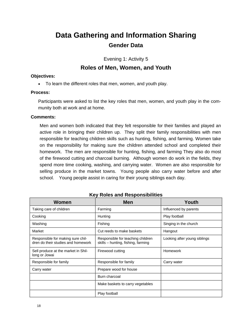# **Data Gathering and Information Sharing Gender Data**

Evening 1: Activity 5

### **Roles of Men, Women, and Youth**

#### **Objectives:**

• To learn the different roles that men, women, and youth play.

#### **Process:**

Participants were asked to list the key roles that men, women, and youth play in the community both at work and at home.

#### **Comments:**

Men and women both indicated that they felt responsible for their families and played an active role in bringing their children up. They split their family responsibilities with men responsible for teaching children skills such as hunting, fishing, and farming. Women take on the responsibility for making sure the children attended school and completed their homework. The men are responsible for hunting, fishing, and farming They also do most of the firewood cutting and charcoal burning. Although women do work in the fields, they spend more time cooking, washing, and carrying water. Women are also responsible for selling produce in the market towns. Young people also carry water before and after school. Young people assist in caring for their young siblings each day.

| Women                                                                   | <b>Men</b>                                                              | Youth                        |
|-------------------------------------------------------------------------|-------------------------------------------------------------------------|------------------------------|
| Taking care of children                                                 | Farming                                                                 | Influenced by parents        |
| Cooking                                                                 | Hunting                                                                 | Play football                |
| Washing                                                                 | Fishing                                                                 | Singing in the church        |
| Market                                                                  | Cut reeds to make baskets                                               | Hangout                      |
| Responsible for making sure chil-<br>dren do their studies and homework | Responsible for teaching children<br>skills - hunting, fishing, farming | Looking after young siblings |
| Sell produce at the market in Shil-<br>long or Jowai                    | Firewood cutting                                                        | Homework                     |
| Responsible for family                                                  | Responsible for family                                                  | Carry water                  |
| Carry water                                                             | Prepare wood for house                                                  |                              |
|                                                                         | Burn charcoal                                                           |                              |
|                                                                         | Make baskets to carry vegetables                                        |                              |
|                                                                         | Play football                                                           |                              |

#### **Key Roles and Responsibilities**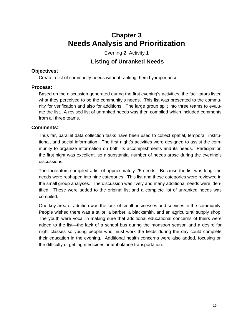# **Chapter 3 Needs Analysis and Prioritization**

Evening 2: Activity 1

### **Listing of Unranked Needs**

#### **Objectives:**

Create a list of community needs without ranking them by importance

#### **Process:**

Based on the discussion generated during the first evening's activities, the facilitators listed what they perceived to be the community's needs. This list was presented to the community for verification and also for additions. The large group split into three teams to evaluate the list. A revised list of unranked needs was then compiled which included comments from all three teams.

#### **Comments:**

Thus far, parallel data collection tasks have been used to collect spatial, temporal, institutional, and social information. The first night's activities were designed to assist the community to organize information on both its accomplishments and its needs. Participation the first night was excellent, so a substantial number of needs arose during the evening's discussions.

The facilitators compiled a list of approximately 25 needs. Because the list was long, the needs were reshaped into nine categories. This list and these categories were reviewed in the small group analyses. The discussion was lively and many additional needs were identified. These were added to the original list and a complete list of unranked needs was compiled.

One key area of addition was the lack of small businesses and services in the community. People wished there was a tailor, a barber, a blacksmith, and an agricultural supply shop. The youth were vocal in making sure that additional educational concerns of theirs were added to the list—the lack of a school bus during the monsoon season and a desire for night classes so young people who must work the fields during the day could complete their education in the evening. Additional health concerns were also added, focusing on the difficulty of getting medicines or ambulance transportation.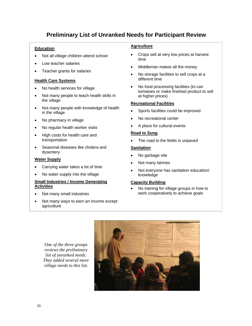### **Preliminary List of Unranked Needs for Participant Review**

#### **Education**

- Not all village children attend school
- Low teacher salaries
- Teacher grants for salaries

#### **Health Care Systems**

- No health services for village
- Not many people to teach health skills in the village
- Not many people with knowledge of health in the village
- No pharmacy in village
- No regular health worker visits
- High costs for health care and transportation
- Seasonal diseases like cholera and dysentery

#### **Water Supply**

- Carrying water takes a lot of time
- No water supply into the village

#### **Small Industries / Income Generating Activities**

- Not many small industries
- Not many ways to earn an income except agriculture

#### **Agriculture**

- Crops sell at very low prices at harvest time
- Middleman makes all the money
- No storage facilities to sell crops at a different time
- No food processing facilities (to can tomatoes or make finished product to sell at higher prices)

#### **Recreational Facilities**

- Sports facilities could be improved
- No recreational center
- A place for cultural events

#### **Road to Sung**

The road to the fields is unpaved

#### **Sanitation**

- No garbage site
- Not many latrines
- Not everyone has sanitation education/ knowledge

#### **Capacity Building**

• No training for village groups in how to work cooperatively to achieve goals

*One of the three groups reviews the preliminary list of unranked needs. They added several more village needs to this list.* 

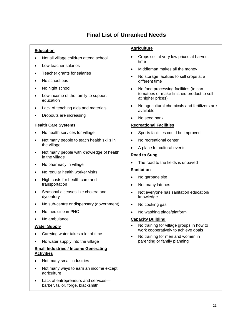### **Final List of Unranked Needs**

#### **Education**

- Not all village children attend school
- Low teacher salaries
- Teacher grants for salaries
- No school bus
- No night school
- Low income of the family to support education
- Lack of teaching aids and materials
- Dropouts are increasing

#### **Health Care Systems**

- No health services for village
- Not many people to teach health skills in the village
- Not many people with knowledge of health in the village
- No pharmacy in village
- No regular health worker visits
- High costs for health care and transportation
- Seasonal diseases like cholera and dysentery
- No sub-centre or dispensary (government)
- No medicine in PHC
- No ambulance

#### **Water Supply**

- Carrying water takes a lot of time
- No water supply into the village

#### **Small Industries / Income Generating Activities**

- Not many small industries
- Not many ways to earn an income except agriculture
- Lack of entrepreneurs and services barber, tailor, forge, blacksmith

#### **Agriculture**

- Crops sell at very low prices at harvest time
- Middleman makes all the money
- No storage facilities to sell crops at a different time
- No food processing facilities (to can tomatoes or make finished product to sell at higher prices)
- No agricultural chemicals and fertilizers are available
- No seed bank

#### **Recreational Facilities**

- Sports facilities could be improved
- No recreational center
- A place for cultural events

#### **Road to Sung**

• The road to the fields is unpaved

#### **Sanitation**

- No garbage site
- Not many latrines
- Not everyone has sanitation education/ knowledge
- No cooking gas
- No washing place/platform

#### **Capacity Building**

- No training for village groups in how to work cooperatively to achieve goals
- No training for men and women in parenting or family planning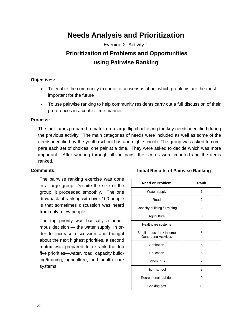# **Needs Analysis and Prioritization**

Evening 2: Activity 1  **Prioritization of Problems and Opportunities using Pairwise Ranking** 

#### **Objectives:**

- To enable the community to come to consensus about which problems are the most important for the future
- To use pairwise ranking to help community residents carry out a full discussion of their preferences in a conflict-free manner

#### **Process:**

The facilitators prepared a matrix on a large flip chart listing the key needs identified during the previous activity. The main categories of needs were included as well as some of the needs identified by the youth (school bus and night school). The group was asked to compare each set of choices, one pair at a time. They were asked to decide which was more important. After working through all the pairs, the scores were counted and the items ranked.

#### **Comments:**

The pairwise ranking exercise was done in a large group. Despite the size of the group, it proceeded smoothly. The one drawback of ranking with over 100 people is that sometimes discussion was heard from only a few people.

The top priority was basically a unanimous decision — the water supply. In order to increase discussion and thought about the next highest priorities, a second matrix was prepared to re-rank the top five priorities—water, road, capacity building/training, agriculture, and health care systems.

#### **Initial Results of Pairwise Ranking**

| <b>Need or Problem</b>                                    | Rank           |
|-----------------------------------------------------------|----------------|
| Water supply                                              | 1              |
| Road                                                      | 2              |
| Capacity building / Training                              | $\overline{2}$ |
| Agriculture                                               | 3              |
| Healthcare systems                                        | 4              |
| Small Industries / Income<br><b>Generating Activities</b> | 5              |
| Sanitation                                                | 5              |
| <b>Education</b>                                          | 6              |
| School bus                                                | $\overline{7}$ |
| Night school                                              | 8              |
| <b>Recreational facilities</b>                            | 9              |
| Cooking gas                                               | 10             |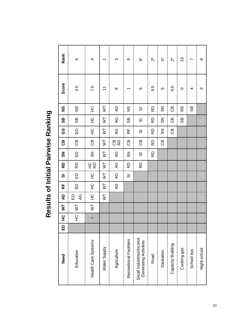|                                     | Rank          | $\circ$            | 4                           | $\overline{\phantom{0}}$    | ო                        | ၜ                         | ້ ທ່                                             | $\stackrel{*}{\sim}$ | ້ທ             | $\stackrel{*}{\sim}$ | $\overline{C}$ | Z          | $\infty$     |
|-------------------------------------|---------------|--------------------|-----------------------------|-----------------------------|--------------------------|---------------------------|--------------------------------------------------|----------------------|----------------|----------------------|----------------|------------|--------------|
|                                     | Score         | 4.5                | 7.5                         | $\overline{ }$              | $\infty$                 | $\overline{\phantom{0}}$  | Ю                                                | 8.5                  | LO             | 8,5                  | $\circ$        | 4          | ო            |
|                                     | ပ္စ           | $\frac{\infty}{2}$ | 오                           | $\overline{\mathsf{S}}$     | QY                       | $\frac{8}{2}$             | 5                                                | RD                   | <u>გ</u>       | පී                   | SS             | 89         |              |
|                                     | 88            | 8S                 | 오                           | $\overline{\triangleright}$ | $\overline{\mathcal{A}}$ | සි                        | 0                                                | RD                   | $\frac{8}{2}$  | GB                   | 89             |            |              |
|                                     | GS            | 品                  | 잎                           | $\overline{\triangleright}$ | QY                       | 녽                         | あ                                                | RD                   | $\mathfrak{F}$ | පී                   |                |            |              |
|                                     | ල<br>උ        | $\mathbf{G}$       | GB                          | $\overline{\triangleright}$ | <b>CB</b>                | СB                        | සි                                               | RD                   | 6D             |                      |                |            |              |
| Results of Initial Pairwise Ranking | $\frac{5}{2}$ | ED                 | $\frac{8}{2}$               | $\overline{\triangleright}$ | QY                       | $\mathbf{S}^{\mathbf{C}}$ | 5                                                | 6                    |                |                      |                |            |              |
|                                     | 6             | 6D                 | 오오                          | $\overline{\triangleright}$ | ЭÞ                       | 6                         | RD                                               |                      |                |                      |                |            |              |
|                                     | 5             | 읎                  | 잎                           | $\overline{\triangleright}$ | $\mathcal{L}$            | 5                         |                                                  |                      |                |                      |                |            |              |
|                                     | 눉             | 品                  | 잎                           | $\overline{\triangleright}$ | AC                       |                           |                                                  |                      |                |                      |                |            |              |
|                                     | ୧୯            | QY<br>읎            | $\frac{0}{1}$               | $\overline{\triangleright}$ |                          |                           |                                                  |                      |                |                      |                |            |              |
|                                     | ξ             | $\geq$             | $\overline{\triangleright}$ |                             |                          |                           |                                                  |                      |                |                      |                |            |              |
|                                     | ပ္<br>±       | 오                  | $\overline{\phantom{0}}$    |                             |                          |                           |                                                  |                      |                |                      |                |            |              |
|                                     | 읍             |                    |                             |                             |                          |                           |                                                  |                      |                |                      |                |            |              |
|                                     | Need          | Education          | Health Care Systems         | Water Supply                | Agriculture              | Recreational Facilities   | Small Industries/Income<br>Generating Activities | Road                 | Sanitation     | Capacity Building    | Cooking gas    | School bus | Night school |
|                                     |               |                    |                             |                             |                          |                           |                                                  |                      |                |                      |                |            |              |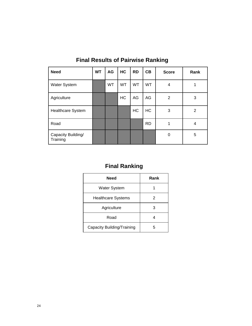| <b>Need</b>                    | <b>WT</b> | AG        | HC        | <b>RD</b> | CB        | <b>Score</b> | Rank |
|--------------------------------|-----------|-----------|-----------|-----------|-----------|--------------|------|
| Water System                   |           | <b>WT</b> | <b>WT</b> | <b>WT</b> | <b>WT</b> | 4            |      |
| Agriculture                    |           |           | HC        | AG        | AG        | 2            | 3    |
| <b>Healthcare System</b>       |           |           |           | HC        | <b>HC</b> | 3            | 2    |
| Road                           |           |           |           |           | <b>RD</b> | 1            | 4    |
| Capacity Building/<br>Training |           |           |           |           |           | 0            | 5    |

**Final Results of Pairwise Ranking** 

# **Final Ranking**

| <b>Need</b>                | Rank |
|----------------------------|------|
| <b>Water System</b>        |      |
| <b>Healthcare Systems</b>  | 2    |
| Agriculture                | 3    |
| Road                       |      |
| Capacity Building/Training | 5    |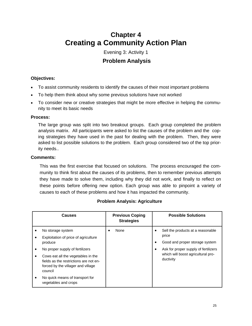# **Chapter 4 Creating a Community Action Plan**

### Evening 3: Activity 1  **Problem Analysis**

#### **Objectives:**

- To assist community residents to identify the causes of their most important problems
- To help them think about why some previous solutions have not worked
- To consider new or creative strategies that might be more effective in helping the community to meet its basic needs

#### **Process:**

The large group was split into two breakout groups. Each group completed the problem analysis matrix. All participants were asked to list the causes of the problem and the coping strategies they have used in the past for dealing with the problem. Then, they were asked to list possible solutions to the problem. Each group considered two of the top priority needs..

#### **Comments:**

This was the first exercise that focused on solutions. The process encouraged the community to think first about the causes of its problems, then to remember previous attempts they have made to solve them, including why they did not work, and finally to reflect on these points before offering new option. Each group was able to pinpoint a variety of causes to each of these problems and how it has impacted the community.

| Causes                                                                                                                        | <b>Previous Coping</b><br><b>Strategies</b> | <b>Possible Solutions</b>                       |
|-------------------------------------------------------------------------------------------------------------------------------|---------------------------------------------|-------------------------------------------------|
| No storage system                                                                                                             | None                                        | Sell the products at a reasonable               |
| Exploitation of price of agriculture                                                                                          |                                             | price                                           |
| produce                                                                                                                       |                                             | Good and proper storage system                  |
| No proper supply of fertilizers                                                                                               |                                             | Ask for proper supply of fertilizers<br>٠       |
| Cows eat all the vegetables in the<br>fields as the restrictions are not en-<br>forced by the villager and village<br>council |                                             | which will boost agricultural pro-<br>ductivity |
| No quick means of transport for<br>vegetables and crops                                                                       |                                             |                                                 |

#### **Problem Analysis: Agriculture**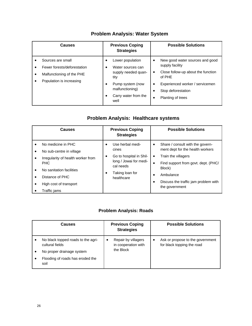| <b>Causes</b> |                                                                                                           | <b>Previous Coping</b><br><b>Strategies</b> |                                                                                                                                             | <b>Possible Solutions</b> |                                                                                                                                                                                  |  |
|---------------|-----------------------------------------------------------------------------------------------------------|---------------------------------------------|---------------------------------------------------------------------------------------------------------------------------------------------|---------------------------|----------------------------------------------------------------------------------------------------------------------------------------------------------------------------------|--|
|               | Sources are small<br>Fewer forests/deforestation<br>Malfunctioning of the PHE<br>Population is increasing |                                             | Lower population<br>Water sources can<br>supply needed quan-<br>tity<br>Pump system (now<br>malfunctioning)<br>Carry water from the<br>well | ٠<br>$\bullet$<br>٠       | New good water sources and good<br>supply facility<br>Close follow-up about the function<br>of PHE<br>Experienced worker / servicemen<br>Stop deforestation<br>Planting of trees |  |

### **Problem Analysis: Water System**

### **Problem Analysis: Healthcare systems**

| <b>Causes</b> |                                                                       | <b>Previous Coping</b><br><b>Strategies</b> |                                                                | <b>Possible Solutions</b> |                                                                      |  |
|---------------|-----------------------------------------------------------------------|---------------------------------------------|----------------------------------------------------------------|---------------------------|----------------------------------------------------------------------|--|
|               | No medicine in PHC<br>No sub-centre in village                        |                                             | Use herbal medi-<br>cines                                      | ٠                         | Share / consult with the govern-<br>ment dept for the health workers |  |
|               | Irregularity of health worker from<br>PHC                             |                                             | Go to hospital in Shil-<br>long / Jowai for medi-<br>cal needs | $\bullet$<br>$\bullet$    | Train the villagers<br>Find support from govt. dept. (PHC/           |  |
|               | No sanitation facilities<br>Distance of PHC<br>High cost of transport |                                             | Taking loan for<br>healthcare                                  | ٠                         | Block)<br>Ambulance<br>Discuss the traffic jam problem with          |  |
|               | Traffic jams                                                          |                                             |                                                                |                           | the government                                                       |  |

#### **Problem Analysis: Roads**

| Causes                                                                                                                         | <b>Previous Coping</b><br><b>Strategies</b>             | <b>Possible Solutions</b>                                                   |
|--------------------------------------------------------------------------------------------------------------------------------|---------------------------------------------------------|-----------------------------------------------------------------------------|
| No black topped roads to the agri-<br>cultural fields<br>No proper drainage system<br>Flooding of roads has eroded the<br>soil | Repair by villagers<br>in cooperation with<br>the Block | Ask or propose to the government<br>$\bullet$<br>for black topping the road |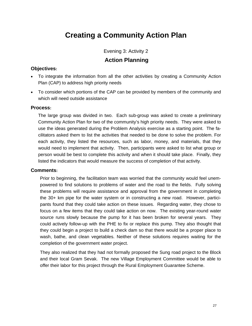# **Creating a Community Action Plan**

### Evening 3: Activity 2  **Action Planning**

#### **Objectives:**

- To integrate the information from all the other activities by creating a Community Action Plan (CAP) to address high priority needs
- To consider which portions of the CAP can be provided by members of the community and which will need outside assistance

#### **Process:**

The large group was divided in two. Each sub-group was asked to create a preliminary Community Action Plan for two of the community's high priority needs. They were asked to use the ideas generated during the Problem Analysis exercise as a starting point. The facilitators asked them to list the activities that needed to be done to solve the problem. For each activity, they listed the resources, such as labor, money, and materials, that they would need to implement that activity. Then, participants were asked to list what group or person would be best to complete this activity and when it should take place. Finally, they listed the indicators that would measure the success of completion of that activity.

#### **Comments:**

Prior to beginning, the facilitation team was worried that the community would feel unempowered to find solutions to problems of water and the road to the fields. Fully solving these problems will require assistance and approval from the government in completing the 30+ km pipe for the water system or in constructing a new road. However, participants found that they could take action on these issues. Regarding water, they chose to focus on a few items that they could take action on now. The existing year-round water source runs slowly because the pump for it has been broken for several years. They could actively follow-up with the PHE to fix or replace this pump. They also thought that they could begin a project to build a check dam so that there would be a proper place to wash, bathe, and clean vegetables. Neither of these solutions requires waiting for the completion of the government water project.

They also realized that they had not formally proposed the Sung road project to the Block and their local Gram Sevak. The new Village Employment Committee would be able to offer their labor for this project through the Rural Employment Guarantee Scheme.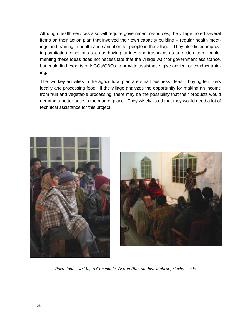Although health services also will require government resources, the village noted several items on their action plan that involved their own capacity building – regular health meetings and training in health and sanitation for people in the village. They also listed improving sanitation conditions such as having latrines and trashcans as an action item. Implementing these ideas does not necessitate that the village wait for government assistance, but could find experts or NGOs/CBOs to provide assistance, give advice, or conduct training.

The two key activities in the agricultural plan are small business ideas – buying fertilizers locally and processing food. If the village analyzes the opportunity for making an income from fruit and vegetable processing, there may be the possibility that their products would demand a better price in the market place. They wisely listed that they would need a lot of technical assistance for this project.





*Participants writing a Community Action Plan on their highest priority needs.*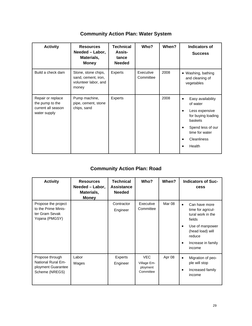| <b>Activity</b>                                                            | <b>Resources</b><br>Needed - Labor,<br>Materials,<br><b>Money</b>           | <b>Technical</b><br>Assis-<br>tance<br><b>Needed</b> | Who?                   | When? | <b>Indicators of</b><br><b>Success</b>                                                                                                                               |
|----------------------------------------------------------------------------|-----------------------------------------------------------------------------|------------------------------------------------------|------------------------|-------|----------------------------------------------------------------------------------------------------------------------------------------------------------------------|
| Build a check dam                                                          | Stone, stone chips,<br>sand, cement, iron,<br>volunteer labor, and<br>money | Experts                                              | Executive<br>Committee | 2008  | • Washing, bathing<br>and cleaning of<br>vegetables                                                                                                                  |
| Repair or replace<br>the pump to the<br>current all season<br>water supply | Pump machine,<br>pipe, cement, stone<br>chips, sand                         | Experts                                              |                        | 2008  | Easy availability<br>of water<br>Less expensive<br>$\bullet$<br>for buying loading<br>baskets<br>Spend less of our<br>time for water<br><b>Cleanliness</b><br>Health |

### **Community Action Plan: Water System**

### **Community Action Plan: Road**

| <b>Activity</b>                                                                      | <b>Resources</b><br>Needed - Labor,<br>Materials,<br><b>Money</b> | <b>Technical</b><br><b>Assistance</b><br><b>Needed</b> | Who?                                               | When?  | <b>Indicators of Suc-</b><br>cess                                                                                                                               |
|--------------------------------------------------------------------------------------|-------------------------------------------------------------------|--------------------------------------------------------|----------------------------------------------------|--------|-----------------------------------------------------------------------------------------------------------------------------------------------------------------|
| Propose the project<br>to the Prime Minis-<br>ter Gram Sevak<br>Yojana (PMGSY)       |                                                                   | Contractor<br>Engineer                                 | Executive<br>Committee                             | Mar 08 | Can have more<br>$\bullet$<br>time for agricul-<br>tural work in the<br>fields<br>Use of manpower<br>(head load) will<br>reduce<br>Increase in family<br>income |
| Propose through<br><b>National Rural Em-</b><br>ployment Guarantee<br>Scheme (NREGS) | Labor<br>Wages                                                    | Experts<br>Engineer                                    | <b>VEC</b><br>Village Em-<br>ployment<br>Committee | Apr 08 | Migration of peo-<br>$\bullet$<br>ple will stop<br>Increased family<br>$\bullet$<br>income                                                                      |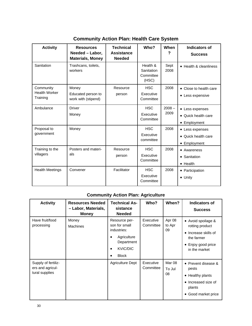| <b>Activity</b>                               | <b>Resources</b><br>Needed - Labor,<br><b>Materials, Money</b> | <b>Technical</b><br><b>Assistance</b><br><b>Needed</b> | Who?                                         | When             | <b>Indicators of</b><br><b>Success</b>                 |
|-----------------------------------------------|----------------------------------------------------------------|--------------------------------------------------------|----------------------------------------------|------------------|--------------------------------------------------------|
| Sanitation                                    | Trashcans, toilets,<br>workers                                 |                                                        | Health &<br>Sanitation<br>Committee<br>(HSC) | Sept<br>2008     | • Health & cleanliness                                 |
| Community<br><b>Health Worker</b><br>Training | Money<br>Educated person to<br>work with (stipend)             | Resource<br>person                                     | <b>HSC</b><br>Executive<br>Committee         | 2008             | • Close to health care<br>• Less expensive             |
| Ambulance                                     | Driver<br>Money                                                |                                                        | <b>HSC</b><br>Executive<br>Committee         | $2008 -$<br>2009 | • Less expenses<br>• Quick health care<br>• Employment |
| Proposal to<br>government                     | Money                                                          |                                                        | <b>HSC</b><br>Executive<br>committee         | 2008             | • Less expenses<br>• Quick health care<br>• Employment |
| Training to the<br>villagers                  | Posters and materi-<br>als                                     | Resource<br>person                                     | <b>HSC</b><br>Executive<br>Committee         | 2008             | • Awareness<br>• Sanitation<br>$\bullet$ Health        |
| <b>Health Meetings</b>                        | Convener                                                       | Facilitator                                            | <b>HSC</b><br>Executive<br>Committee         | 2008             | • Participation<br>$\bullet$ Unity                     |

**Community Action Plan: Health Care System**

### **Community Action Plan: Agriculture**

| <b>Activity</b>                                           | <b>Resources Needed</b><br>- Labor, Materials,<br><b>Money</b> | <b>Technical As-</b><br>sistance<br><b>Needed</b>                                                                   | Who?                   | When?                  | <b>Indicators of</b><br><b>Success</b>                                                                                 |
|-----------------------------------------------------------|----------------------------------------------------------------|---------------------------------------------------------------------------------------------------------------------|------------------------|------------------------|------------------------------------------------------------------------------------------------------------------------|
| Have fruit/food<br>processing                             | Money<br><b>Machines</b>                                       | Resource per-<br>son for small<br>industries:<br>Agriculture<br>$\bullet$<br>Department<br>KVIC/DIC<br><b>Block</b> | Executive<br>Committee | Apr 08<br>to Apr<br>09 | • Avoid spoilage &<br>rotting product<br>• Increase skills of<br>the farmer<br>• Enjoy good price<br>in the market     |
| Supply of fertiliz-<br>ers and agricul-<br>tural supplies |                                                                | <b>Agriculture Dept</b>                                                                                             | Executive<br>Committee | Mar 08<br>To Jul<br>08 | • Prevent disease &<br>pests<br>• Healthy plants<br>Increased size of<br>$\bullet$<br>plants<br>Good market price<br>٠ |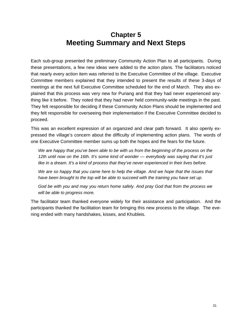# **Chapter 5 Meeting Summary and Next Steps**

Each sub-group presented the preliminary Community Action Plan to all participants. During these presentations, a few new ideas were added to the action plans. The facilitators noticed that nearly every action item was referred to the Executive Committee of the village. Executive Committee members explained that they intended to present the results of these 3-days of meetings at the next full Executive Committee scheduled for the end of March. They also explained that this process was very new for Puriang and that they had never experienced anything like it before. They noted that they had never held community-wide meetings in the past. They felt responsible for deciding if these Community Action Plans should be implemented and they felt responsible for overseeing their implementation if the Executive Committee decided to proceed.

This was an excellent expression of an organized and clear path forward. It also openly expressed the village's concern about the difficulty of implementing action plans. The words of one Executive Committee member sums up both the hopes and the fears for the future.

*We are happy that you've been able to be with us from the beginning of the process on the 12th until now on the 16th. It's some kind of wonder — everybody was saying that it's just like in a dream. It's a kind of process that they've never experienced in their lives before.* 

*We are so happy that you came here to help the village. And we hope that the issues that have been brought to the top will be able to succeed with the training you have set up.* 

*God be with you and may you return home safely. And pray God that from the process we will be able to progress more.* 

The facilitator team thanked everyone widely for their assistance and participation. And the participants thanked the facilitation team for bringing this new process to the village. The evening ended with many handshakes, kisses, and Khubleis.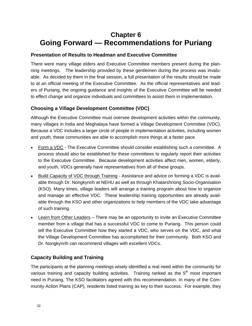# **Chapter 6 Going Forward — Recommendations for Puriang**

#### **Presentation of Results to Headman and Executive Committee**

There were many village elders and Executive Committee members present during the planning meetings. The leadership provided by these gentlemen during the process was invaluable. As decided by them in the final session, a full presentation of the results should be made to at an official meeting of the Executive Committee. As the official representatives and leaders of Puriang, the ongoing guidance and insights of the Executive Committee will be needed to effect change and organize individuals and committees to assist them in implementation.

#### **Choosing a Village Development Committee (VDC)**

Although the Executive Committee must oversee development activities within the community, many villages in India and Meghalaya have formed a Village Development Committee (VDC). Because a VDC includes a larger circle of people in implementation activities, including women and youth, these communities are able to accomplish more things at a faster pace.

- Form a VDC The Executive Committee should consider establishing such a committee. A process should also be established for these committees to regularly report their activities to the Executive Committee. Because development activities affect men, women, elderly, and youth, VDCs generally have representatives from all of these groups.
- Build Capacity of VDC through Training Assistance and advice on forming a VDC is available through Dr. Nongkynrih at NEHU as well as through Khatarshnong Socio-Organisation (KSO). Many times, village leaders will arrange a training program about how to organize and manage an effective VDC. These leadership training opportunities are already available through the KSO and other organizations to help members of the VDC take advantage of such training.
- Learn from Other Leaders There may be an opportunity to invite an Executive Committee member from a village that has a successful VDC to come to Puriang. This person could tell the Executive Committee how they started a VDC, who serves on the VDC, and what the Village Development Committee has accomplished for their community. Both KSO and Dr. Nongkynrih can recommend villages with excellent VDCs.

#### **Capacity Building and Training**

The participants at the planning meetings wisely identified a real need within the community for various training and capacity building activities. Training ranked as the  $5<sup>th</sup>$  most important need in Puriang. The KSO facilitators agreed with this recommendation. In many of the Community Action Plans (CAP), residents listed training as key to their success. For example, they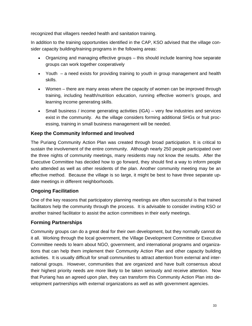recognized that villagers needed health and sanitation training.

In addition to the training opportunities identified in the CAP, KSO advised that the village consider capacity building/training programs in the following areas:

- Organizing and managing effective groups this should include learning how separate groups can work together cooperatively
- Youth a need exists for providing training to youth in group management and health skills.
- Women there are many areas where the capacity of women can be improved through training, including health/nutrition education, running effective women's groups, and learning income generating skills.
- Small business / income generating activities (IGA) very few industries and services exist in the community. As the village considers forming additional SHGs or fruit processing, training in small business management will be needed.

#### **Keep the Community Informed and Involved**

The Puriang Community Action Plan was created through broad participation. It is critical to sustain the involvement of the entire community. Although nearly 250 people participated over the three nights of community meetings, many residents may not know the results. After the Executive Committee has decided how to go forward, they should find a way to inform people who attended as well as other residents of the plan. Another community meeting may be an effective method. Because the village is so large, it might be best to have three separate update meetings in different neighborhoods.

#### **Ongoing Facilitation**

One of the key reasons that participatory planning meetings are often successful is that trained facilitators help the community through the process. It is advisable to consider inviting KSO or another trained facilitator to assist the action committees in their early meetings.

#### **Forming Partnerships**

Community groups can do a great deal for their own development, but they normally cannot do it all. Working through the local government, the Village Development Committee or Executive Committee needs to learn about NGO, government, and international programs and organizations that can help them implement their Community Action Plan and other capacity building activities. It is usually difficult for small communities to attract attention from external and international groups. However, communities that are organized and have built consensus about their highest priority needs are more likely to be taken seriously and receive attention. Now that Puriang has an agreed upon plan, they can transform this Community Action Plan into development partnerships with external organizations as well as with government agencies.